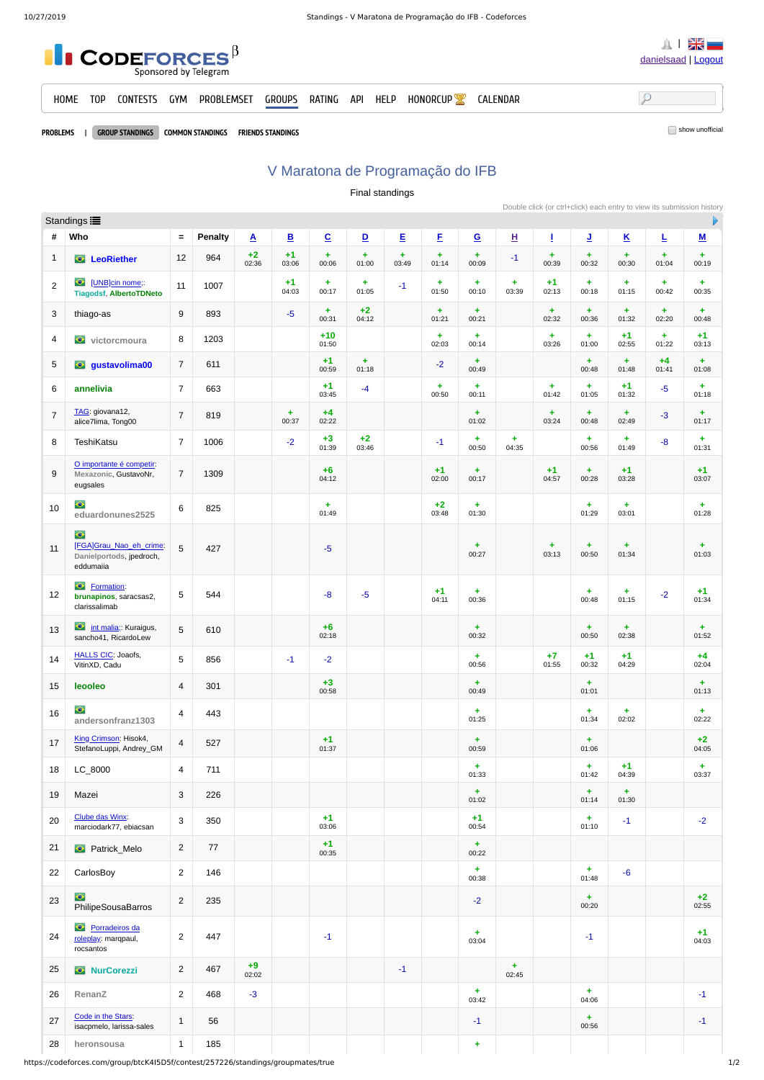

PROBLEMS | GROUP STANDINGS COMMON STANDINGS FRIENDS STANDINGS

## V Maratona de Programação do IFB

Final standings

Double click (or ctrl+click) each entry to view its submission history

|                | Standings :                                                                          |                 |                |               |               |                          |                               |            |                    |                               |                         |               |                               |                          |                    |                         |
|----------------|--------------------------------------------------------------------------------------|-----------------|----------------|---------------|---------------|--------------------------|-------------------------------|------------|--------------------|-------------------------------|-------------------------|---------------|-------------------------------|--------------------------|--------------------|-------------------------|
| #              | Who                                                                                  | $\equiv$        | <b>Penalty</b> | $\mathbf{A}$  | $\mathbf{B}$  | $\underline{\mathbf{C}}$ | $\mathbf{D}$                  | E          | E                  | $\underline{\mathbf{G}}$      | $\overline{\mathbf{H}}$ | Ţ             | <u>J</u>                      | $\underline{\mathsf{K}}$ | L                  | M                       |
| $\mathbf{1}$   | <b>C</b> LeoRiether                                                                  | 12              | 964            | $+2$<br>02:36 | $+1$<br>03:06 | ÷<br>00:06               | $\ddot{}$<br>01:00            | ÷<br>03:49 | $\ddot{}$<br>01:14 | ÷<br>00:09                    | $^{\rm -1}$             | ÷<br>00:39    | $\ddag$<br>00:32              | ÷.<br>00:30              | $\ddag$<br>01:04   | $\ddot{}$<br>00:19      |
| $\overline{2}$ | $\bullet$<br>[UNB]cin nome;<br><b>Tiagodsf, AlbertoTDNeto</b>                        | 11              | 1007           |               | $+1$<br>04:03 | $+$<br>00:17             | $\ddot{\phantom{1}}$<br>01:05 | $-1$       | ÷.<br>01:50        | $\ddot{\phantom{1}}$<br>00:10 | $+$<br>03:39            | $+1$<br>02:13 | $\ddot{}$<br>00:18            | $\ddot{}$<br>01:15       | $\ddot{}$<br>00:42 | $+$<br>00:35            |
| 3              | thiago-as                                                                            | $9\,$           | 893            |               | $-5$          | ÷<br>00:31               | $+2$<br>04:12                 |            | $\ddot{}$<br>01:21 | $+$<br>00:21                  |                         | ÷<br>02:32    | $+$<br>00:36                  | ÷.<br>01:32              | $\ddag$<br>02:20   | $+$<br>00:48            |
| 4              | $\bullet$<br>victorcmoura                                                            | 8               | 1203           |               |               | $+10$<br>01:50           |                               |            | ÷<br>02:03         | $+$<br>00:14                  |                         | ÷<br>03:26    | $+$<br>01:00                  | $+1$<br>02:55            | $\pm$<br>01:22     | $+1$<br>03:13           |
| 5              | <b>e</b> gustavolima00                                                               | $\overline{7}$  | 611            |               |               | $+1$<br>00:59            | ÷<br>01:18                    |            | $-2$               | $\pm$<br>00:49                |                         |               | ÷<br>00:48                    | ÷.<br>01:48              | $+4$<br>01:41      | ÷<br>01:08              |
| 6              | annelivia                                                                            | $\overline{7}$  | 663            |               |               | $+1$<br>03:45            | $-4$                          |            | ÷<br>00:50         | $\ddot{\phantom{1}}$<br>00:11 |                         | ÷<br>01:42    | $\color{red}+$<br>01:05       | $+1$<br>01:32            | $-5$               | $\color{red}+$<br>01:18 |
| $\overline{7}$ | TAG: giovana12,<br>alice7lima, Tong00                                                | $\overline{7}$  | 819            |               | ÷.<br>00:37   | $+4$<br>02:22            |                               |            |                    | ÷<br>01:02                    |                         | ÷.<br>03:24   | ÷.<br>00:48                   | ÷.<br>02:49              | $-3$               | ÷<br>01:17              |
| 8              | TeshiKatsu                                                                           | $\overline{7}$  | 1006           |               | $-2$          | $+3$<br>01:39            | $+2$<br>03:46                 |            | $-1$               | ÷<br>00:50                    | ÷.<br>04:35             |               | $\color{red}+$<br>00:56       | ÷<br>01:49               | $-8-$              | ÷<br>01:31              |
| 9              | O importante é competir:<br>Mexazonic, GustavoNr,<br>eugsales                        | $\overline{7}$  | 1309           |               |               | $+6$<br>04:12            |                               |            | $+1$<br>02:00      | $\ddot{}$<br>00:17            |                         | $+1$<br>04:57 | $\pm$<br>00:28                | $+1$<br>03:28            |                    | $+1$<br>03:07           |
| 10             | $\bullet$<br>eduardonunes2525                                                        | 6               | 825            |               |               | ÷.<br>01:49              |                               |            | $+2$<br>03:48      | $+$<br>01:30                  |                         |               | ÷<br>01:29                    | ÷.<br>03:01              |                    | ÷.<br>01:28             |
| 11             | $\ddot{\bullet}$<br>[FGA]Grau_Nao_eh_crime:<br>Danielportods, jpedroch,<br>eddumaiia | 5               | 427            |               |               | $-5$                     |                               |            |                    | ÷<br>00:27                    |                         | ÷<br>03:13    | $\ddot{}$<br>00:50            | ÷.<br>01:34              |                    | ÷<br>01:03              |
| 12             | C Formation:<br>brunapinos, saracsas2,<br>clarissalimab                              | 5               | 544            |               |               | $-8$                     | $-5$                          |            | $+1$<br>04:11      | $\ddot{}$<br>00:36            |                         |               | $\pm$<br>00:48                | ÷.<br>01:15              | $-2$               | $+1$<br>01:34           |
| 13             | <b>O</b> int malia; Kuraigus,<br>sancho41, RicardoLew                                | $5\phantom{.0}$ | 610            |               |               | $+6$<br>02:18            |                               |            |                    | ÷.<br>00:32                   |                         |               | ÷.<br>00:50                   | ÷.<br>02:38              |                    | ÷.<br>01:52             |
| 14             | <b>HALLS CIC: Joaofs,</b><br>VitinXD, Cadu                                           | 5               | 856            |               | $\textbf{-1}$ | $-2$                     |                               |            |                    | ÷.<br>00:56                   |                         | $+7$<br>01:55 | $+1$<br>00:32                 | $+1$<br>04:29            |                    | $+4$<br>02:04           |
| 15             | leooleo                                                                              | 4               | 301            |               |               | $+3$<br>00:58            |                               |            |                    | $+$<br>00:49                  |                         |               | ÷<br>01:01                    |                          |                    | ÷<br>01:13              |
| 16             | $\bullet$<br>andersonfranz1303                                                       | 4               | 443            |               |               |                          |                               |            |                    | ÷.<br>01:25                   |                         |               | ÷<br>01:34                    | ÷.<br>02:02              |                    | ÷.<br>02:22             |
| 17             | King Crimson: Hisok4,<br>StefanoLuppi, Andrey_GM                                     | 4               | 527            |               |               | $+1$<br>01:37            |                               |            |                    | $+$<br>00:59                  |                         |               | $+$<br>01:06                  |                          |                    | $+2$<br>04:05           |
| 18             | LC_8000                                                                              | $\overline{4}$  | 711            |               |               |                          |                               |            |                    | ÷.<br>01:33                   |                         |               | $\ddot{}$<br>01:42            | $+1$<br>04:39            |                    | $+$<br>03:37            |
| 19             | Mazei                                                                                | 3               | 226            |               |               |                          |                               |            |                    | $\ddot{}$<br>01:02            |                         |               | ÷<br>01:14                    | ÷.<br>01:30              |                    |                         |
| 20             | Clube das Winx:<br>marciodark77, ebiacsan                                            | 3               | 350            |               |               | $+1$<br>03:06            |                               |            |                    | $+1$<br>00:54                 |                         |               | $\ddot{\phantom{1}}$<br>01:10 | $-1$                     |                    | $-2$                    |
| 21             | <b>C</b> Patrick_Melo                                                                | $\overline{c}$  | 77             |               |               | $+1$<br>00:35            |                               |            |                    | $+$<br>00:22                  |                         |               |                               |                          |                    |                         |
| 22             | CarlosBoy                                                                            | $\overline{2}$  | 146            |               |               |                          |                               |            |                    | $+$<br>00:38                  |                         |               | ÷.<br>01:48                   | $-6$                     |                    |                         |
| 23             | $\bullet$<br>PhilipeSousaBarros                                                      | $\overline{2}$  | 235            |               |               |                          |                               |            |                    | $-2$                          |                         |               | $+$<br>00:20                  |                          |                    | $+2$<br>02:55           |
| 24             | $\ddot{\bullet}$<br>Porradeiros da<br>roleplay: marqpaul,<br>rocsantos               | $\overline{c}$  | 447            |               |               | $-1$                     |                               |            |                    | ÷.<br>03:04                   |                         |               | $-1$                          |                          |                    | $+1$<br>04:03           |
| 25             | <b>O</b> NurCorezzi                                                                  | $\overline{2}$  | 467            | $+9$<br>02:02 |               |                          |                               | $-1$       |                    |                               | ÷.<br>02:45             |               |                               |                          |                    |                         |
| 26             | RenanZ                                                                               | $\overline{2}$  | 468            | $-3$          |               |                          |                               |            |                    | $+$<br>03:42                  |                         |               | ÷.<br>04:06                   |                          |                    | $-1$                    |
| 27             | Code in the Stars:<br>isacpmelo, larissa-sales                                       | $\mathbf{1}$    | 56             |               |               |                          |                               |            |                    | $-1$                          |                         |               | ÷.<br>00:56                   |                          |                    | $^{\rm -1}$             |
| 28             | heronsousa                                                                           | $\mathbf{1}$    | 185            |               |               |                          |                               |            |                    | ÷                             |                         |               |                               |                          |                    |                         |

https://codeforces.com/group/btcK4I5D5f/contest/257226/standings/groupmates/true